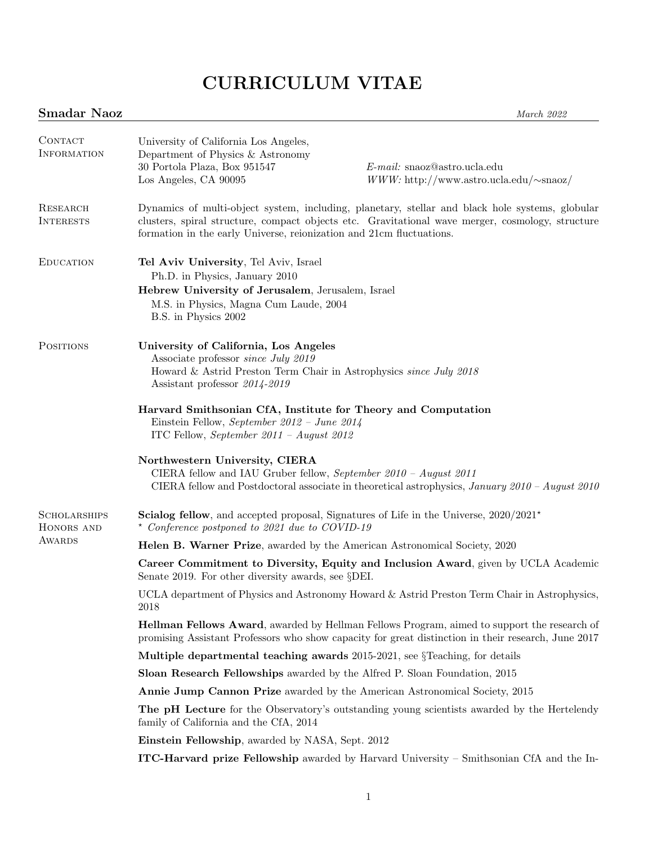# CURRICULUM VITAE

# Smadar Naoz March 2022

| CONTACT<br><b>INFORMATION</b>               | University of California Los Angeles,<br>Department of Physics & Astronomy<br>30 Portola Plaza, Box 951547<br>Los Angeles, CA 90095                                                                                                                                                                                                                    | $E$ -mail: snaoz@astro.ucla.edu<br>$WWW$ : http://www.astro.ucla.edu/ $\sim$ snaoz/                 |
|---------------------------------------------|--------------------------------------------------------------------------------------------------------------------------------------------------------------------------------------------------------------------------------------------------------------------------------------------------------------------------------------------------------|-----------------------------------------------------------------------------------------------------|
| RESEARCH<br><b>INTERESTS</b>                | Dynamics of multi-object system, including, planetary, stellar and black hole systems, globular<br>clusters, spiral structure, compact objects etc. Gravitational wave merger, cosmology, structure<br>formation in the early Universe, reionization and 21cm fluctuations.                                                                            |                                                                                                     |
| <b>EDUCATION</b>                            | Tel Aviv University, Tel Aviv, Israel<br>Ph.D. in Physics, January 2010<br>Hebrew University of Jerusalem, Jerusalem, Israel<br>M.S. in Physics, Magna Cum Laude, 2004<br>B.S. in Physics 2002                                                                                                                                                         |                                                                                                     |
| <b>POSITIONS</b>                            | University of California, Los Angeles<br>Associate professor <i>since July 2019</i><br>Howard & Astrid Preston Term Chair in Astrophysics since July 2018<br>Assistant professor 2014-2019<br>Harvard Smithsonian CfA, Institute for Theory and Computation<br>Einstein Fellow, September 2012 - June 2014<br>ITC Fellow, September 2011 - August 2012 |                                                                                                     |
|                                             | Northwestern University, CIERA<br>CIERA fellow and IAU Gruber fellow, September $2010 - August 2011$                                                                                                                                                                                                                                                   | CIERA fellow and Postdoctoral associate in theoretical astrophysics, January $2010$ – August $2010$ |
| <b>SCHOLARSHIPS</b><br>HONORS AND<br>AWARDS | <b>Scialog fellow</b> , and accepted proposal, Signatures of Life in the Universe, $2020/2021$ <sup>*</sup><br>* Conference postponed to 2021 due to COVID-19                                                                                                                                                                                          |                                                                                                     |
|                                             | <b>Helen B. Warner Prize</b> , awarded by the American Astronomical Society, 2020                                                                                                                                                                                                                                                                      |                                                                                                     |
|                                             | Career Commitment to Diversity, Equity and Inclusion Award, given by UCLA Academic<br>Senate 2019. For other diversity awards, see §DEI.                                                                                                                                                                                                               |                                                                                                     |
|                                             | 2018                                                                                                                                                                                                                                                                                                                                                   | UCLA department of Physics and Astronomy Howard & Astrid Preston Term Chair in Astrophysics,        |
|                                             | <b>Hellman Fellows Award</b> , awarded by Hellman Fellows Program, aimed to support the research of<br>promising Assistant Professors who show capacity for great distinction in their research, June 2017                                                                                                                                             |                                                                                                     |
|                                             | <b>Multiple departmental teaching awards</b> 2015-2021, see $\S$ Teaching, for details                                                                                                                                                                                                                                                                 |                                                                                                     |
|                                             | <b>Sloan Research Fellowships</b> awarded by the Alfred P. Sloan Foundation, 2015                                                                                                                                                                                                                                                                      |                                                                                                     |
|                                             | <b>Annie Jump Cannon Prize</b> awarded by the American Astronomical Society, 2015                                                                                                                                                                                                                                                                      |                                                                                                     |
|                                             | <b>The pH Lecture</b> for the Observatory's outstanding young scientists awarded by the Hertelendy<br>family of California and the CfA, 2014                                                                                                                                                                                                           |                                                                                                     |
|                                             | Einstein Fellowship, awarded by NASA, Sept. 2012                                                                                                                                                                                                                                                                                                       |                                                                                                     |
|                                             |                                                                                                                                                                                                                                                                                                                                                        | <b>ITC-Harvard prize Fellowship</b> awarded by Harvard University – Smithsonian CfA and the In-     |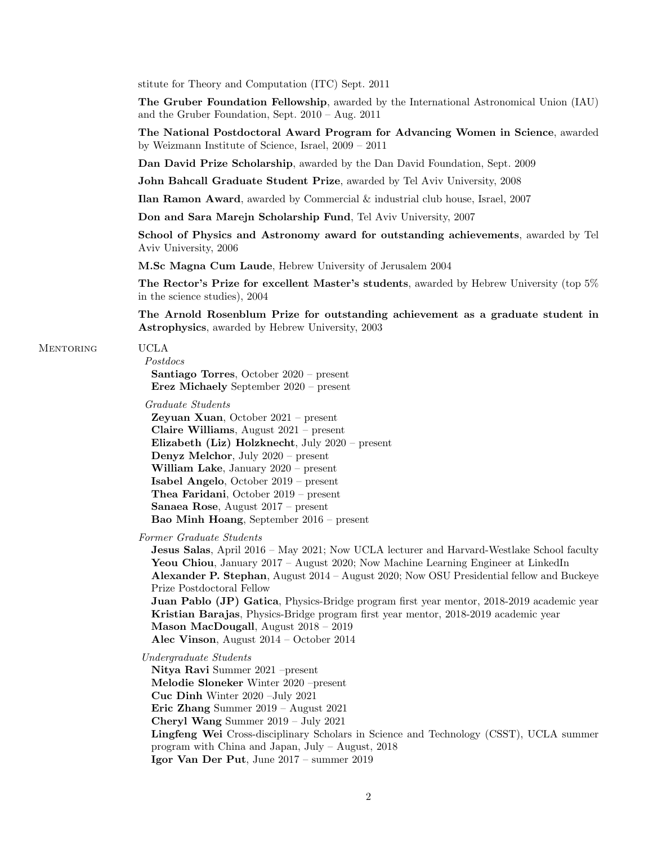stitute for Theory and Computation (ITC) Sept. 2011

The Gruber Foundation Fellowship, awarded by the International Astronomical Union (IAU) and the Gruber Foundation, Sept. 2010 – Aug. 2011

The National Postdoctoral Award Program for Advancing Women in Science, awarded by Weizmann Institute of Science, Israel, 2009 – 2011

Dan David Prize Scholarship, awarded by the Dan David Foundation, Sept. 2009

John Bahcall Graduate Student Prize, awarded by Tel Aviv University, 2008

Ilan Ramon Award, awarded by Commercial & industrial club house, Israel, 2007

Don and Sara Marejn Scholarship Fund, Tel Aviv University, 2007

School of Physics and Astronomy award for outstanding achievements, awarded by Tel Aviv University, 2006

M.Sc Magna Cum Laude, Hebrew University of Jerusalem 2004

The Rector's Prize for excellent Master's students, awarded by Hebrew University (top 5% in the science studies), 2004

The Arnold Rosenblum Prize for outstanding achievement as a graduate student in Astrophysics, awarded by Hebrew University, 2003

#### Mentoring UCLA

Postdocs Santiago Torres, October 2020 – present Erez Michaely September 2020 – present

Graduate Students

Zeyuan Xuan, October 2021 – present Claire Williams, August 2021 – present Elizabeth (Liz) Holzknecht, July 2020 – present Denyz Melchor, July 2020 – present William Lake, January 2020 – present Isabel Angelo, October 2019 – present Thea Faridani, October 2019 – present Sanaea Rose, August 2017 – present Bao Minh Hoang, September 2016 – present

Former Graduate Students

Jesus Salas, April 2016 – May 2021; Now UCLA lecturer and Harvard-Westlake School faculty Yeou Chiou, January 2017 – August 2020; Now Machine Learning Engineer at LinkedIn Alexander P. Stephan, August 2014 – August 2020; Now OSU Presidential fellow and Buckeye Prize Postdoctoral Fellow Juan Pablo (JP) Gatica, Physics-Bridge program first year mentor, 2018-2019 academic year Kristian Barajas, Physics-Bridge program first year mentor, 2018-2019 academic year Mason MacDougall, August 2018 – 2019 Alec Vinson, August 2014 – October 2014

Undergraduate Students

Nitya Ravi Summer 2021 –present Melodie Sloneker Winter 2020 –present Cuc Dinh Winter 2020 –July 2021 Eric Zhang Summer 2019 – August 2021 Cheryl Wang Summer 2019 – July 2021 Lingfeng Wei Cross-disciplinary Scholars in Science and Technology (CSST), UCLA summer program with China and Japan, July – August, 2018 Igor Van Der Put, June 2017 – summer 2019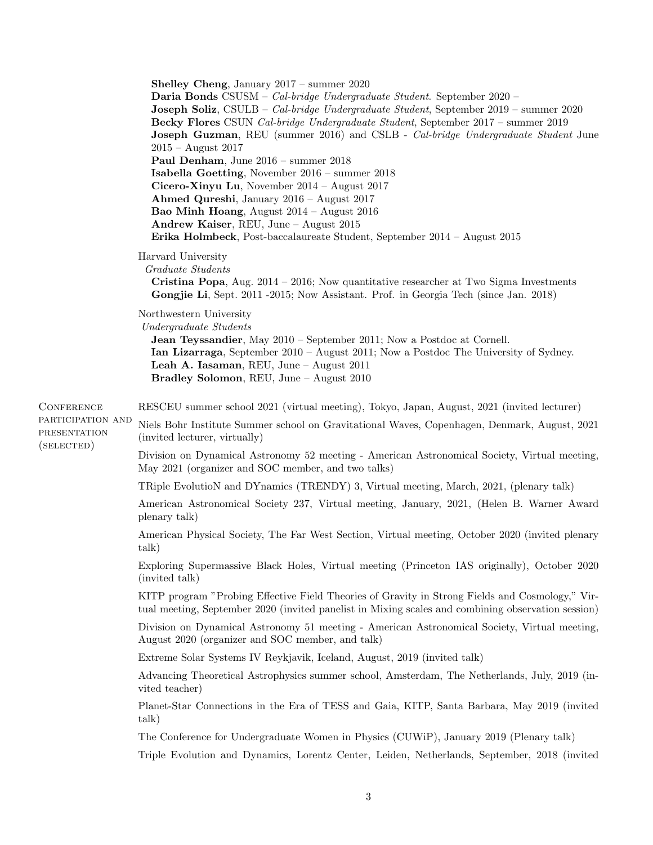Shelley Cheng, January 2017 – summer 2020 Daria Bonds CSUSM – Cal-bridge Undergraduate Student. September 2020 – Joseph Soliz, CSULB – Cal-bridge Undergraduate Student, September 2019 – summer 2020 Becky Flores CSUN Cal-bridge Undergraduate Student, September 2017 – summer 2019 **Joseph Guzman**, REU (summer 2016) and CSLB - Cal-bridge Undergraduate Student June 2015 – August 2017 Paul Denham, June 2016 – summer 2018 Isabella Goetting, November 2016 – summer 2018 Cicero-Xinyu Lu, November 2014 – August 2017 Ahmed Qureshi, January 2016 – August 2017 Bao Minh Hoang, August 2014 – August 2016 Andrew Kaiser, REU, June – August 2015 Erika Holmbeck, Post-baccalaureate Student, September 2014 – August 2015 Harvard University Graduate Students **Cristina Popa**, Aug.  $2014 - 2016$ ; Now quantitative researcher at Two Sigma Investments Gongjie Li, Sept. 2011 -2015; Now Assistant. Prof. in Georgia Tech (since Jan. 2018) Northwestern University Undergraduate Students Jean Teyssandier, May 2010 – September 2011; Now a Postdoc at Cornell. Ian Lizarraga, September 2010 – August 2011; Now a Postdoc The University of Sydney. Leah A. Iasaman, REU, June – August 2011 Bradley Solomon, REU, June – August 2010 **CONFERENCE** participation and **PRESENTATION** (selected) RESCEU summer school 2021 (virtual meeting), Tokyo, Japan, August, 2021 (invited lecturer) Niels Bohr Institute Summer school on Gravitational Waves, Copenhagen, Denmark, August, 2021 (invited lecturer, virtually) Division on Dynamical Astronomy 52 meeting - American Astronomical Society, Virtual meeting, May 2021 (organizer and SOC member, and two talks) TRiple EvolutioN and DYnamics (TRENDY) 3, Virtual meeting, March, 2021, (plenary talk) American Astronomical Society 237, Virtual meeting, January, 2021, (Helen B. Warner Award plenary talk) American Physical Society, The Far West Section, Virtual meeting, October 2020 (invited plenary talk) Exploring Supermassive Black Holes, Virtual meeting (Princeton IAS originally), October 2020 (invited talk) KITP program "Probing Effective Field Theories of Gravity in Strong Fields and Cosmology," Virtual meeting, September 2020 (invited panelist in Mixing scales and combining observation session) Division on Dynamical Astronomy 51 meeting - American Astronomical Society, Virtual meeting, August 2020 (organizer and SOC member, and talk) Extreme Solar Systems IV Reykjavik, Iceland, August, 2019 (invited talk) Advancing Theoretical Astrophysics summer school, Amsterdam, The Netherlands, July, 2019 (invited teacher) Planet-Star Connections in the Era of TESS and Gaia, KITP, Santa Barbara, May 2019 (invited talk) The Conference for Undergraduate Women in Physics (CUWiP), January 2019 (Plenary talk) Triple Evolution and Dynamics, Lorentz Center, Leiden, Netherlands, September, 2018 (invited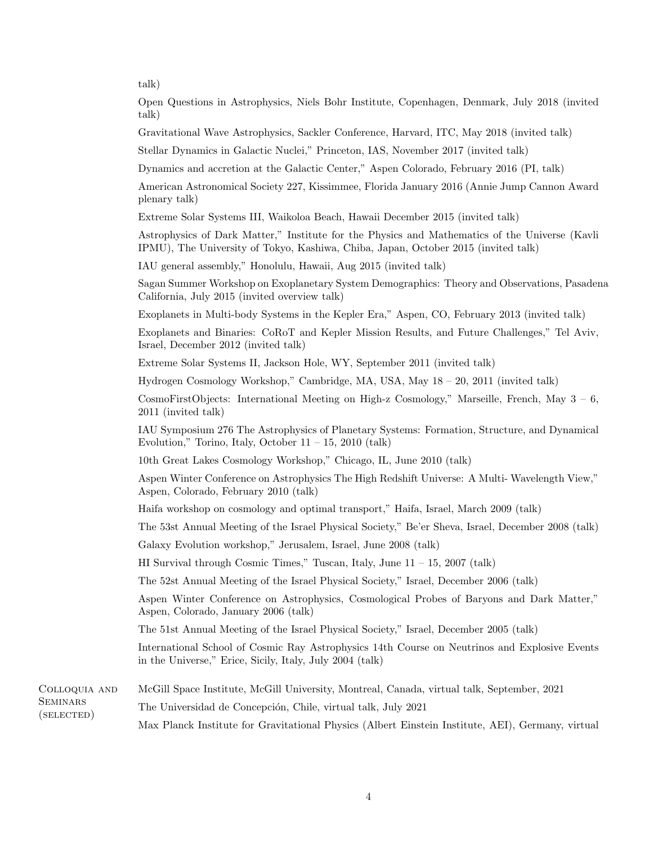talk)

Open Questions in Astrophysics, Niels Bohr Institute, Copenhagen, Denmark, July 2018 (invited talk)

Gravitational Wave Astrophysics, Sackler Conference, Harvard, ITC, May 2018 (invited talk)

Stellar Dynamics in Galactic Nuclei," Princeton, IAS, November 2017 (invited talk)

Dynamics and accretion at the Galactic Center," Aspen Colorado, February 2016 (PI, talk)

American Astronomical Society 227, Kissimmee, Florida January 2016 (Annie Jump Cannon Award plenary talk)

Extreme Solar Systems III, Waikoloa Beach, Hawaii December 2015 (invited talk)

Astrophysics of Dark Matter," Institute for the Physics and Mathematics of the Universe (Kavli IPMU), The University of Tokyo, Kashiwa, Chiba, Japan, October 2015 (invited talk)

IAU general assembly," Honolulu, Hawaii, Aug 2015 (invited talk)

Sagan Summer Workshop on Exoplanetary System Demographics: Theory and Observations, Pasadena California, July 2015 (invited overview talk)

Exoplanets in Multi-body Systems in the Kepler Era," Aspen, CO, February 2013 (invited talk)

Exoplanets and Binaries: CoRoT and Kepler Mission Results, and Future Challenges," Tel Aviv, Israel, December 2012 (invited talk)

Extreme Solar Systems II, Jackson Hole, WY, September 2011 (invited talk)

Hydrogen Cosmology Workshop," Cambridge, MA, USA, May 18 – 20, 2011 (invited talk)

CosmoFirstObjects: International Meeting on High-z Cosmology," Marseille, French, May  $3 - 6$ , 2011 (invited talk)

IAU Symposium 276 The Astrophysics of Planetary Systems: Formation, Structure, and Dynamical Evolution," Torino, Italy, October  $11 - 15$ , 2010 (talk)

10th Great Lakes Cosmology Workshop," Chicago, IL, June 2010 (talk)

Aspen Winter Conference on Astrophysics The High Redshift Universe: A Multi- Wavelength View," Aspen, Colorado, February 2010 (talk)

Haifa workshop on cosmology and optimal transport," Haifa, Israel, March 2009 (talk)

The 53st Annual Meeting of the Israel Physical Society," Be'er Sheva, Israel, December 2008 (talk)

Galaxy Evolution workshop," Jerusalem, Israel, June 2008 (talk)

HI Survival through Cosmic Times," Tuscan, Italy, June  $11 - 15$ , 2007 (talk)

The 52st Annual Meeting of the Israel Physical Society," Israel, December 2006 (talk)

Aspen Winter Conference on Astrophysics, Cosmological Probes of Baryons and Dark Matter," Aspen, Colorado, January 2006 (talk)

The 51st Annual Meeting of the Israel Physical Society," Israel, December 2005 (talk)

International School of Cosmic Ray Astrophysics 14th Course on Neutrinos and Explosive Events in the Universe," Erice, Sicily, Italy, July 2004 (talk)

| COLLOQUIA AND          | McGill Space Institute, McGill University, Montreal, Canada, virtual talk, September, 2021        |
|------------------------|---------------------------------------------------------------------------------------------------|
| SEMINARS<br>(SELECTED) | The Universidad de Concepción, Chile, virtual talk, July 2021                                     |
|                        | Max Planck Institute for Gravitational Physics (Albert Einstein Institute, AEI), Germany, virtual |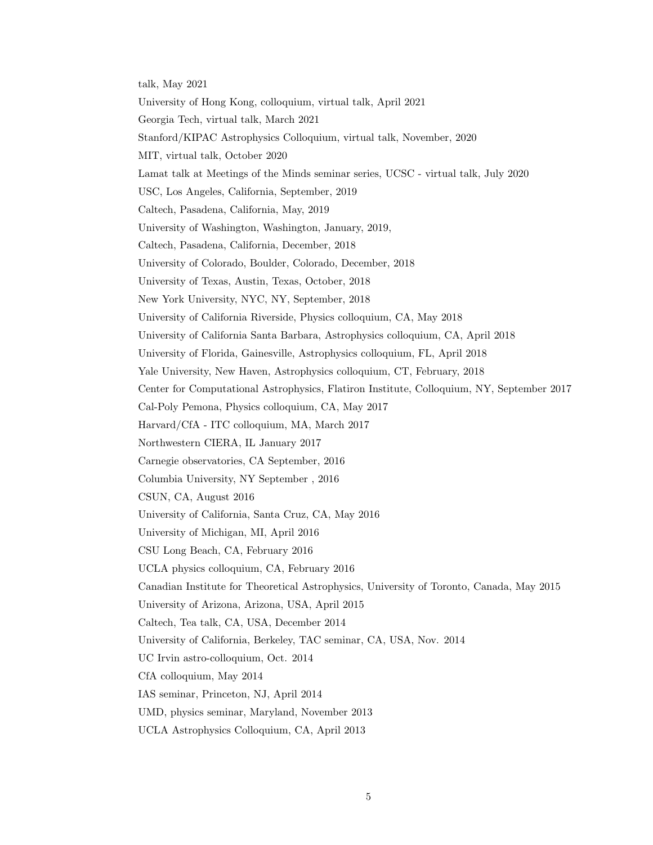talk, May 2021 University of Hong Kong, colloquium, virtual talk, April 2021 Georgia Tech, virtual talk, March 2021 Stanford/KIPAC Astrophysics Colloquium, virtual talk, November, 2020 MIT, virtual talk, October 2020 Lamat talk at Meetings of the Minds seminar series, UCSC - virtual talk, July 2020 USC, Los Angeles, California, September, 2019 Caltech, Pasadena, California, May, 2019 University of Washington, Washington, January, 2019, Caltech, Pasadena, California, December, 2018 University of Colorado, Boulder, Colorado, December, 2018 University of Texas, Austin, Texas, October, 2018 New York University, NYC, NY, September, 2018 University of California Riverside, Physics colloquium, CA, May 2018 University of California Santa Barbara, Astrophysics colloquium, CA, April 2018 University of Florida, Gainesville, Astrophysics colloquium, FL, April 2018 Yale University, New Haven, Astrophysics colloquium, CT, February, 2018 Center for Computational Astrophysics, Flatiron Institute, Colloquium, NY, September 2017 Cal-Poly Pemona, Physics colloquium, CA, May 2017 Harvard/CfA - ITC colloquium, MA, March 2017 Northwestern CIERA, IL January 2017 Carnegie observatories, CA September, 2016 Columbia University, NY September , 2016 CSUN, CA, August 2016 University of California, Santa Cruz, CA, May 2016 University of Michigan, MI, April 2016 CSU Long Beach, CA, February 2016 UCLA physics colloquium, CA, February 2016 Canadian Institute for Theoretical Astrophysics, University of Toronto, Canada, May 2015 University of Arizona, Arizona, USA, April 2015 Caltech, Tea talk, CA, USA, December 2014 University of California, Berkeley, TAC seminar, CA, USA, Nov. 2014 UC Irvin astro-colloquium, Oct. 2014 CfA colloquium, May 2014 IAS seminar, Princeton, NJ, April 2014 UMD, physics seminar, Maryland, November 2013 UCLA Astrophysics Colloquium, CA, April 2013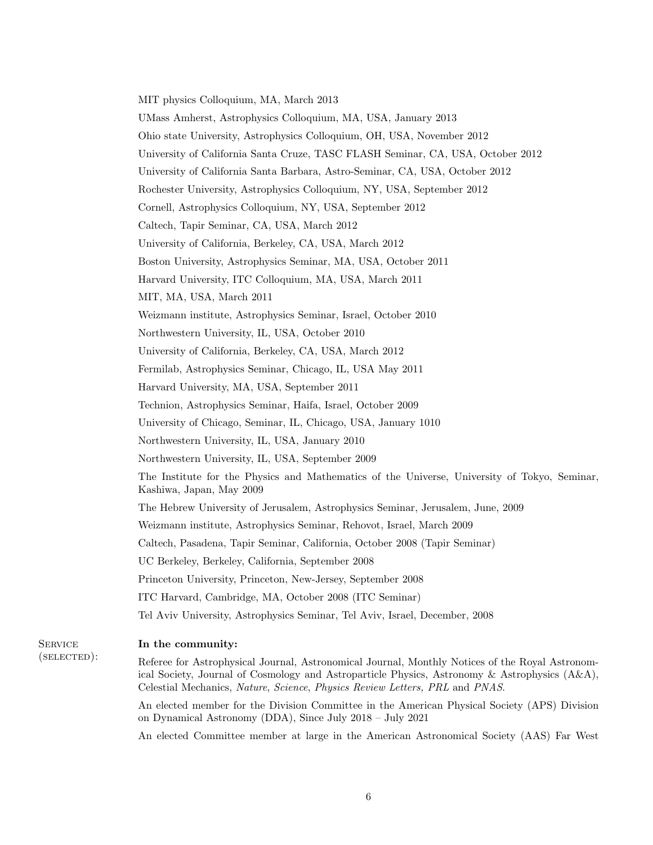MIT physics Colloquium, MA, March 2013 UMass Amherst, Astrophysics Colloquium, MA, USA, January 2013 Ohio state University, Astrophysics Colloquium, OH, USA, November 2012 University of California Santa Cruze, TASC FLASH Seminar, CA, USA, October 2012 University of California Santa Barbara, Astro-Seminar, CA, USA, October 2012 Rochester University, Astrophysics Colloquium, NY, USA, September 2012 Cornell, Astrophysics Colloquium, NY, USA, September 2012 Caltech, Tapir Seminar, CA, USA, March 2012 University of California, Berkeley, CA, USA, March 2012 Boston University, Astrophysics Seminar, MA, USA, October 2011 Harvard University, ITC Colloquium, MA, USA, March 2011 MIT, MA, USA, March 2011 Weizmann institute, Astrophysics Seminar, Israel, October 2010 Northwestern University, IL, USA, October 2010 University of California, Berkeley, CA, USA, March 2012 Fermilab, Astrophysics Seminar, Chicago, IL, USA May 2011 Harvard University, MA, USA, September 2011 Technion, Astrophysics Seminar, Haifa, Israel, October 2009 University of Chicago, Seminar, IL, Chicago, USA, January 1010 Northwestern University, IL, USA, January 2010 Northwestern University, IL, USA, September 2009 The Institute for the Physics and Mathematics of the Universe, University of Tokyo, Seminar, Kashiwa, Japan, May 2009 The Hebrew University of Jerusalem, Astrophysics Seminar, Jerusalem, June, 2009 Weizmann institute, Astrophysics Seminar, Rehovot, Israel, March 2009 Caltech, Pasadena, Tapir Seminar, California, October 2008 (Tapir Seminar) UC Berkeley, Berkeley, California, September 2008 Princeton University, Princeton, New-Jersey, September 2008 ITC Harvard, Cambridge, MA, October 2008 (ITC Seminar) Tel Aviv University, Astrophysics Seminar, Tel Aviv, Israel, December, 2008

**SERVICE** (selected):

# In the community:

Referee for Astrophysical Journal, Astronomical Journal, Monthly Notices of the Royal Astronomical Society, Journal of Cosmology and Astroparticle Physics, Astronomy & Astrophysics (A&A), Celestial Mechanics, Nature, Science, Physics Review Letters, PRL and PNAS.

An elected member for the Division Committee in the American Physical Society (APS) Division on Dynamical Astronomy (DDA), Since July 2018 – July 2021

An elected Committee member at large in the American Astronomical Society (AAS) Far West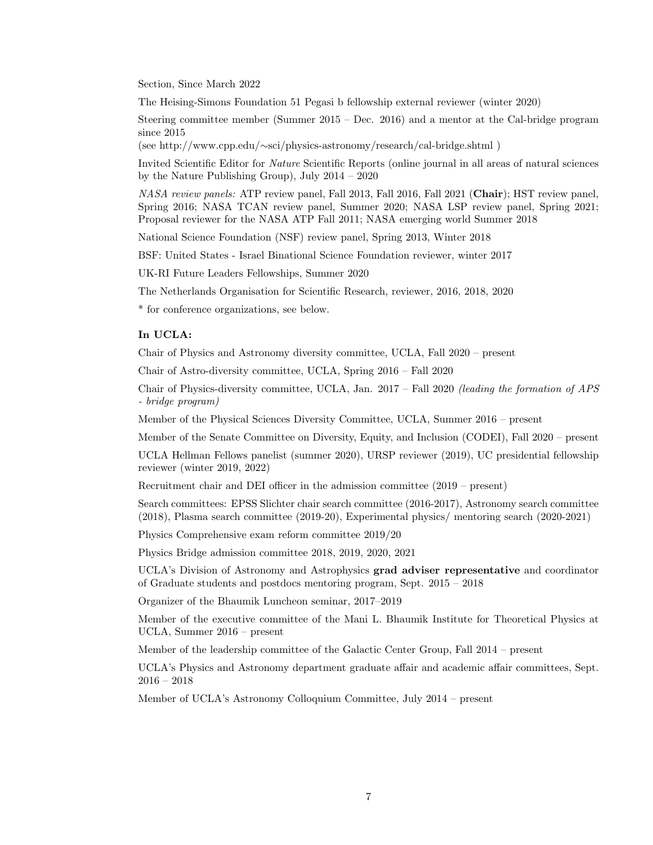Section, Since March 2022

The Heising-Simons Foundation 51 Pegasi b fellowship external reviewer (winter 2020)

Steering committee member (Summer 2015 – Dec. 2016) and a mentor at the Cal-bridge program since 2015

(see http://www.cpp.edu/∼sci/physics-astronomy/research/cal-bridge.shtml )

Invited Scientific Editor for Nature Scientific Reports (online journal in all areas of natural sciences by the Nature Publishing Group), July 2014 – 2020

NASA review panels: ATP review panel, Fall 2013, Fall 2016, Fall 2021 (Chair); HST review panel, Spring 2016; NASA TCAN review panel, Summer 2020; NASA LSP review panel, Spring 2021; Proposal reviewer for the NASA ATP Fall 2011; NASA emerging world Summer 2018

National Science Foundation (NSF) review panel, Spring 2013, Winter 2018

BSF: United States - Israel Binational Science Foundation reviewer, winter 2017

UK-RI Future Leaders Fellowships, Summer 2020

The Netherlands Organisation for Scientific Research, reviewer, 2016, 2018, 2020

\* for conference organizations, see below.

# In UCLA:

Chair of Physics and Astronomy diversity committee, UCLA, Fall 2020 – present

Chair of Astro-diversity committee, UCLA, Spring 2016 – Fall 2020

Chair of Physics-diversity committee, UCLA, Jan. 2017 – Fall 2020 (leading the formation of APS - bridge program)

Member of the Physical Sciences Diversity Committee, UCLA, Summer 2016 – present

Member of the Senate Committee on Diversity, Equity, and Inclusion (CODEI), Fall 2020 – present

UCLA Hellman Fellows panelist (summer 2020), URSP reviewer (2019), UC presidential fellowship reviewer (winter 2019, 2022)

Recruitment chair and DEI officer in the admission committee (2019 – present)

Search committees: EPSS Slichter chair search committee (2016-2017), Astronomy search committee (2018), Plasma search committee (2019-20), Experimental physics/ mentoring search (2020-2021)

Physics Comprehensive exam reform committee 2019/20

Physics Bridge admission committee 2018, 2019, 2020, 2021

UCLA's Division of Astronomy and Astrophysics grad adviser representative and coordinator of Graduate students and postdocs mentoring program, Sept. 2015 – 2018

Organizer of the Bhaumik Luncheon seminar, 2017–2019

Member of the executive committee of the Mani L. Bhaumik Institute for Theoretical Physics at UCLA, Summer 2016 – present

Member of the leadership committee of the Galactic Center Group, Fall 2014 – present

UCLA's Physics and Astronomy department graduate affair and academic affair committees, Sept. 2016 – 2018

Member of UCLA's Astronomy Colloquium Committee, July 2014 – present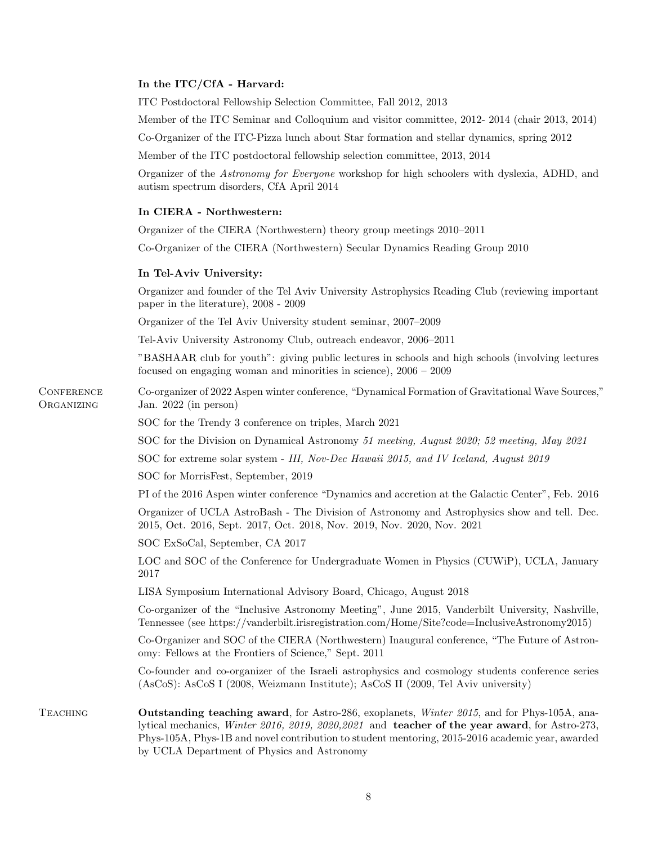# In the ITC/CfA - Harvard:

ITC Postdoctoral Fellowship Selection Committee, Fall 2012, 2013

Member of the ITC Seminar and Colloquium and visitor committee, 2012- 2014 (chair 2013, 2014)

Co-Organizer of the ITC-Pizza lunch about Star formation and stellar dynamics, spring 2012

Member of the ITC postdoctoral fellowship selection committee, 2013, 2014

Organizer of the Astronomy for Everyone workshop for high schoolers with dyslexia, ADHD, and autism spectrum disorders, CfA April 2014

# In CIERA - Northwestern:

Organizer of the CIERA (Northwestern) theory group meetings 2010–2011

Co-Organizer of the CIERA (Northwestern) Secular Dynamics Reading Group 2010

### In Tel-Aviv University:

**CONFERENCE ORGANIZING** 

Organizer and founder of the Tel Aviv University Astrophysics Reading Club (reviewing important paper in the literature), 2008 - 2009

Organizer of the Tel Aviv University student seminar, 2007–2009

Tel-Aviv University Astronomy Club, outreach endeavor, 2006–2011

"BASHAAR club for youth": giving public lectures in schools and high schools (involving lectures focused on engaging woman and minorities in science), 2006 – 2009

Co-organizer of 2022 Aspen winter conference, "Dynamical Formation of Gravitational Wave Sources," Jan. 2022 (in person)

SOC for the Trendy 3 conference on triples, March 2021

SOC for the Division on Dynamical Astronomy 51 meeting, August 2020; 52 meeting, May 2021

SOC for extreme solar system - III, Nov-Dec Hawaii 2015, and IV Iceland, August 2019

SOC for MorrisFest, September, 2019

PI of the 2016 Aspen winter conference "Dynamics and accretion at the Galactic Center", Feb. 2016

Organizer of UCLA AstroBash - The Division of Astronomy and Astrophysics show and tell. Dec. 2015, Oct. 2016, Sept. 2017, Oct. 2018, Nov. 2019, Nov. 2020, Nov. 2021

SOC ExSoCal, September, CA 2017

LOC and SOC of the Conference for Undergraduate Women in Physics (CUWiP), UCLA, January 2017

LISA Symposium International Advisory Board, Chicago, August 2018

Co-organizer of the "Inclusive Astronomy Meeting", June 2015, Vanderbilt University, Nashville, Tennessee (see https://vanderbilt.irisregistration.com/Home/Site?code=InclusiveAstronomy2015)

Co-Organizer and SOC of the CIERA (Northwestern) Inaugural conference, "The Future of Astronomy: Fellows at the Frontiers of Science," Sept. 2011

Co-founder and co-organizer of the Israeli astrophysics and cosmology students conference series (AsCoS): AsCoS I (2008, Weizmann Institute); AsCoS II (2009, Tel Aviv university)

TEACHING **Outstanding teaching award**, for Astro-286, exoplanets, *Winter 2015*, and for Phys-105A, analytical mechanics, Winter 2016, 2019, 2020,2021 and teacher of the year award, for Astro-273, Phys-105A, Phys-1B and novel contribution to student mentoring, 2015-2016 academic year, awarded by UCLA Department of Physics and Astronomy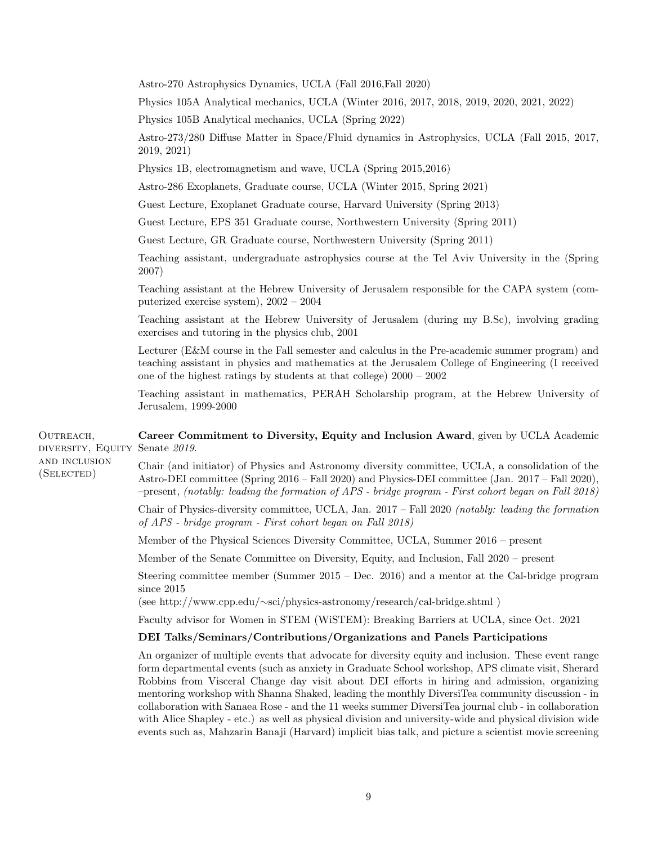Astro-270 Astrophysics Dynamics, UCLA (Fall 2016,Fall 2020)

Physics 105A Analytical mechanics, UCLA (Winter 2016, 2017, 2018, 2019, 2020, 2021, 2022)

Physics 105B Analytical mechanics, UCLA (Spring 2022)

Astro-273/280 Diffuse Matter in Space/Fluid dynamics in Astrophysics, UCLA (Fall 2015, 2017, 2019, 2021)

Physics 1B, electromagnetism and wave, UCLA (Spring 2015,2016)

Astro-286 Exoplanets, Graduate course, UCLA (Winter 2015, Spring 2021)

Guest Lecture, Exoplanet Graduate course, Harvard University (Spring 2013)

Guest Lecture, EPS 351 Graduate course, Northwestern University (Spring 2011)

Guest Lecture, GR Graduate course, Northwestern University (Spring 2011)

Teaching assistant, undergraduate astrophysics course at the Tel Aviv University in the (Spring 2007)

Teaching assistant at the Hebrew University of Jerusalem responsible for the CAPA system (computerized exercise system), 2002 – 2004

Teaching assistant at the Hebrew University of Jerusalem (during my B.Sc), involving grading exercises and tutoring in the physics club, 2001

Lecturer (E&M course in the Fall semester and calculus in the Pre-academic summer program) and teaching assistant in physics and mathematics at the Jerusalem College of Engineering (I received one of the highest ratings by students at that college) 2000 – 2002

Teaching assistant in mathematics, PERAH Scholarship program, at the Hebrew University of Jerusalem, 1999-2000

OUTREACH, diversity, Equity Career Commitment to Diversity, Equity and Inclusion Award, given by UCLA Academic Senate 2019.

and inclusion

(Selected)

Chair (and initiator) of Physics and Astronomy diversity committee, UCLA, a consolidation of the Astro-DEI committee (Spring 2016 – Fall 2020) and Physics-DEI committee (Jan. 2017 – Fall 2020), –present, (notably: leading the formation of APS - bridge program - First cohort began on Fall 2018)

Chair of Physics-diversity committee, UCLA, Jan. 2017 – Fall 2020 (notably: leading the formation of APS - bridge program - First cohort began on Fall 2018)

Member of the Physical Sciences Diversity Committee, UCLA, Summer 2016 – present

Member of the Senate Committee on Diversity, Equity, and Inclusion, Fall 2020 – present

Steering committee member (Summer 2015 – Dec. 2016) and a mentor at the Cal-bridge program since 2015

(see http://www.cpp.edu/∼sci/physics-astronomy/research/cal-bridge.shtml )

Faculty advisor for Women in STEM (WiSTEM): Breaking Barriers at UCLA, since Oct. 2021

#### DEI Talks/Seminars/Contributions/Organizations and Panels Participations

An organizer of multiple events that advocate for diversity equity and inclusion. These event range form departmental events (such as anxiety in Graduate School workshop, APS climate visit, Sherard Robbins from Visceral Change day visit about DEI efforts in hiring and admission, organizing mentoring workshop with Shanna Shaked, leading the monthly DiversiTea community discussion - in collaboration with Sanaea Rose - and the 11 weeks summer DiversiTea journal club - in collaboration with Alice Shapley - etc.) as well as physical division and university-wide and physical division wide events such as, Mahzarin Banaji (Harvard) implicit bias talk, and picture a scientist movie screening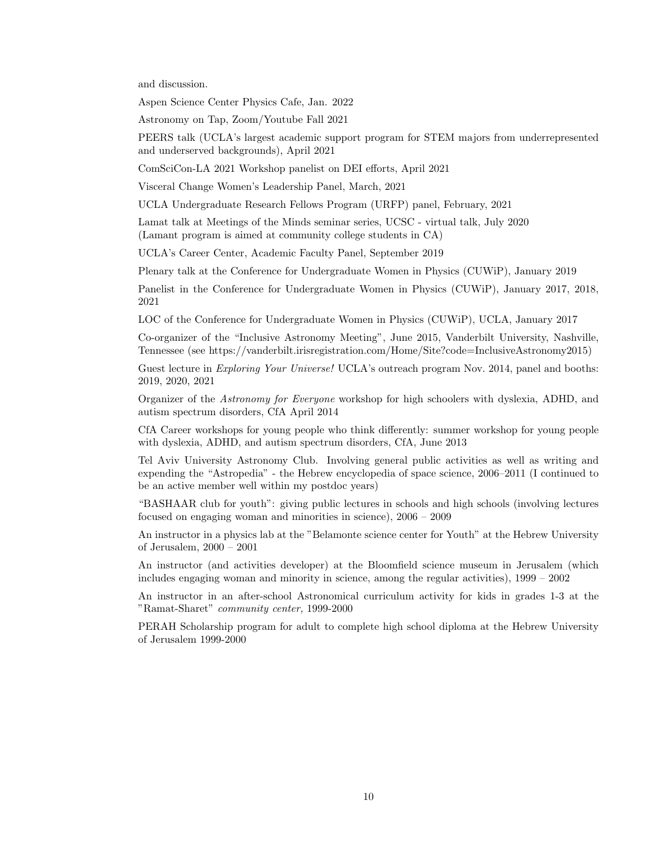and discussion.

Aspen Science Center Physics Cafe, Jan. 2022

Astronomy on Tap, Zoom/Youtube Fall 2021

PEERS talk (UCLA's largest academic support program for STEM majors from underrepresented and underserved backgrounds), April 2021

ComSciCon-LA 2021 Workshop panelist on DEI efforts, April 2021

Visceral Change Women's Leadership Panel, March, 2021

UCLA Undergraduate Research Fellows Program (URFP) panel, February, 2021

Lamat talk at Meetings of the Minds seminar series, UCSC - virtual talk, July 2020 (Lamant program is aimed at community college students in CA)

UCLA's Career Center, Academic Faculty Panel, September 2019

Plenary talk at the Conference for Undergraduate Women in Physics (CUWiP), January 2019

Panelist in the Conference for Undergraduate Women in Physics (CUWiP), January 2017, 2018, 2021

LOC of the Conference for Undergraduate Women in Physics (CUWiP), UCLA, January 2017

Co-organizer of the "Inclusive Astronomy Meeting", June 2015, Vanderbilt University, Nashville, Tennessee (see https://vanderbilt.irisregistration.com/Home/Site?code=InclusiveAstronomy2015)

Guest lecture in *Exploring Your Universe!* UCLA's outreach program Nov. 2014, panel and booths: 2019, 2020, 2021

Organizer of the Astronomy for Everyone workshop for high schoolers with dyslexia, ADHD, and autism spectrum disorders, CfA April 2014

CfA Career workshops for young people who think differently: summer workshop for young people with dyslexia, ADHD, and autism spectrum disorders, CfA, June 2013

Tel Aviv University Astronomy Club. Involving general public activities as well as writing and expending the "Astropedia" - the Hebrew encyclopedia of space science, 2006–2011 (I continued to be an active member well within my postdoc years)

"BASHAAR club for youth": giving public lectures in schools and high schools (involving lectures focused on engaging woman and minorities in science), 2006 – 2009

An instructor in a physics lab at the "Belamonte science center for Youth" at the Hebrew University of Jerusalem, 2000 – 2001

An instructor (and activities developer) at the Bloomfield science museum in Jerusalem (which includes engaging woman and minority in science, among the regular activities), 1999 – 2002

An instructor in an after-school Astronomical curriculum activity for kids in grades 1-3 at the "Ramat-Sharet" community center, 1999-2000

PERAH Scholarship program for adult to complete high school diploma at the Hebrew University of Jerusalem 1999-2000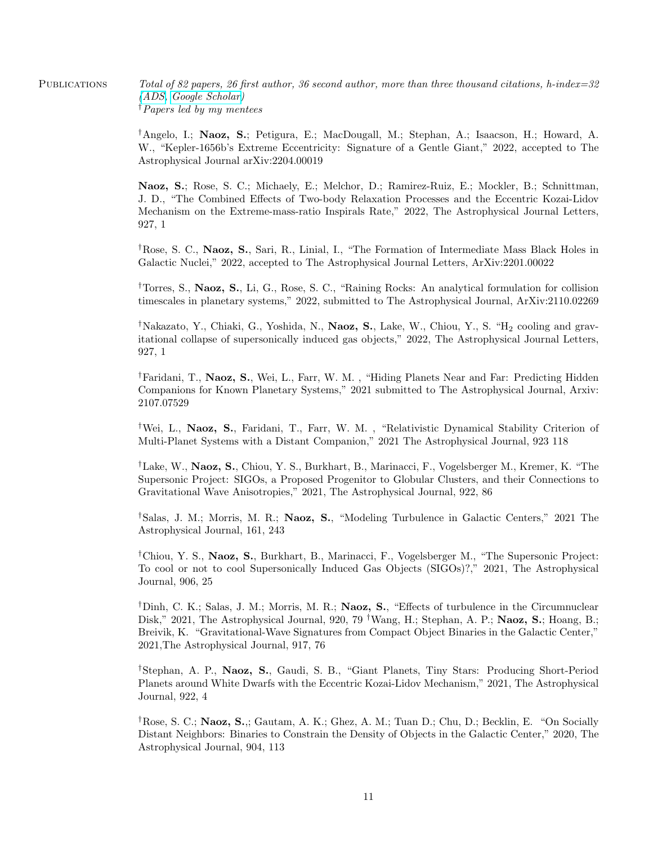PUBLICATIONS Total of 82 papers, 26 first author, 36 second author, more than three thousand citations, h-index=32 [\(ADS,](https://ui.adsabs.harvard.edu/search/q=author%3A(%22naoz%2C%20s.%22)&sort=date%20desc%2C%20bibcode%20desc&p_=0) [Google Scholar\)](https://scholar.google.com/citations?hl=en&user=XDXbVfMAAAAJ) †Papers led by my mentees

> †Angelo, I.; Naoz, S.; Petigura, E.; MacDougall, M.; Stephan, A.; Isaacson, H.; Howard, A. W., "Kepler-1656b's Extreme Eccentricity: Signature of a Gentle Giant," 2022, accepted to The Astrophysical Journal arXiv:2204.00019

> Naoz, S.; Rose, S. C.; Michaely, E.; Melchor, D.; Ramirez-Ruiz, E.; Mockler, B.; Schnittman, J. D., "The Combined Effects of Two-body Relaxation Processes and the Eccentric Kozai-Lidov Mechanism on the Extreme-mass-ratio Inspirals Rate," 2022, The Astrophysical Journal Letters, 927, 1

> †Rose, S. C., Naoz, S., Sari, R., Linial, I., "The Formation of Intermediate Mass Black Holes in Galactic Nuclei," 2022, accepted to The Astrophysical Journal Letters, ArXiv:2201.00022

> †Torres, S., Naoz, S., Li, G., Rose, S. C., "Raining Rocks: An analytical formulation for collision timescales in planetary systems," 2022, submitted to The Astrophysical Journal, ArXiv:2110.02269

> <sup>†</sup>Nakazato, Y., Chiaki, G., Yoshida, N., **Naoz, S.**, Lake, W., Chiou, Y., S. "H<sub>2</sub> cooling and gravitational collapse of supersonically induced gas objects," 2022, The Astrophysical Journal Letters, 927, 1

> <sup>†</sup>Faridani, T., Naoz, S., Wei, L., Farr, W. M., "Hiding Planets Near and Far: Predicting Hidden Companions for Known Planetary Systems," 2021 submitted to The Astrophysical Journal, Arxiv: 2107.07529

> †Wei, L., Naoz, S., Faridani, T., Farr, W. M. , "Relativistic Dynamical Stability Criterion of Multi-Planet Systems with a Distant Companion," 2021 The Astrophysical Journal, 923 118

> †Lake, W., Naoz, S., Chiou, Y. S., Burkhart, B., Marinacci, F., Vogelsberger M., Kremer, K. "The Supersonic Project: SIGOs, a Proposed Progenitor to Globular Clusters, and their Connections to Gravitational Wave Anisotropies," 2021, The Astrophysical Journal, 922, 86

> †Salas, J. M.; Morris, M. R.; Naoz, S., "Modeling Turbulence in Galactic Centers," 2021 The Astrophysical Journal, 161, 243

> †Chiou, Y. S., Naoz, S., Burkhart, B., Marinacci, F., Vogelsberger M., "The Supersonic Project: To cool or not to cool Supersonically Induced Gas Objects (SIGOs)?," 2021, The Astrophysical Journal, 906, 25

> †Dinh, C. K.; Salas, J. M.; Morris, M. R.; Naoz, S., "Effects of turbulence in the Circumnuclear Disk," 2021, The Astrophysical Journal, 920, 79 <sup>†</sup>Wang, H.; Stephan, A. P.; **Naoz, S.**; Hoang, B.; Breivik, K. "Gravitational-Wave Signatures from Compact Object Binaries in the Galactic Center," 2021,The Astrophysical Journal, 917, 76

> †Stephan, A. P., Naoz, S., Gaudi, S. B., "Giant Planets, Tiny Stars: Producing Short-Period Planets around White Dwarfs with the Eccentric Kozai-Lidov Mechanism," 2021, The Astrophysical Journal, 922, 4

> †Rose, S. C.; Naoz, S.,; Gautam, A. K.; Ghez, A. M.; Tuan D.; Chu, D.; Becklin, E. "On Socially Distant Neighbors: Binaries to Constrain the Density of Objects in the Galactic Center," 2020, The Astrophysical Journal, 904, 113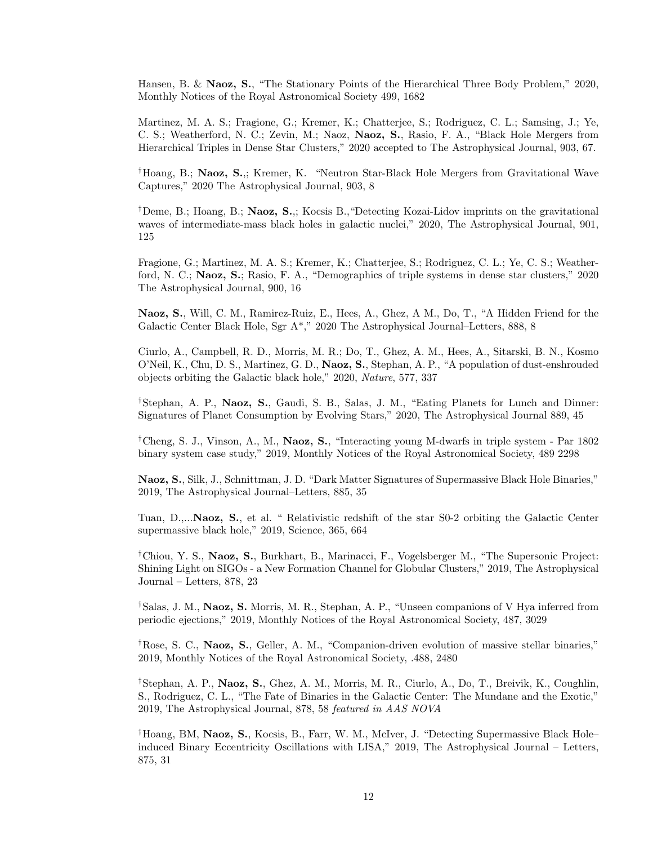Hansen, B. & Naoz, S., "The Stationary Points of the Hierarchical Three Body Problem," 2020, Monthly Notices of the Royal Astronomical Society 499, 1682

Martinez, M. A. S.; Fragione, G.; Kremer, K.; Chatterjee, S.; Rodriguez, C. L.; Samsing, J.; Ye, C. S.; Weatherford, N. C.; Zevin, M.; Naoz, Naoz, S., Rasio, F. A., "Black Hole Mergers from Hierarchical Triples in Dense Star Clusters," 2020 accepted to The Astrophysical Journal, 903, 67.

†Hoang, B.; Naoz, S.,; Kremer, K. "Neutron Star-Black Hole Mergers from Gravitational Wave Captures," 2020 The Astrophysical Journal, 903, 8

<sup>†</sup>Deme, B.; Hoang, B.; **Naoz, S.**,; Kocsis B., "Detecting Kozai-Lidov imprints on the gravitational waves of intermediate-mass black holes in galactic nuclei," 2020, The Astrophysical Journal, 901, 125

Fragione, G.; Martinez, M. A. S.; Kremer, K.; Chatterjee, S.; Rodriguez, C. L.; Ye, C. S.; Weatherford, N. C.; Naoz, S.; Rasio, F. A., "Demographics of triple systems in dense star clusters," 2020 The Astrophysical Journal, 900, 16

Naoz, S., Will, C. M., Ramirez-Ruiz, E., Hees, A., Ghez, A M., Do, T., "A Hidden Friend for the Galactic Center Black Hole, Sgr A\*," 2020 The Astrophysical Journal–Letters, 888, 8

Ciurlo, A., Campbell, R. D., Morris, M. R.; Do, T., Ghez, A. M., Hees, A., Sitarski, B. N., Kosmo O'Neil, K., Chu, D. S., Martinez, G. D., Naoz, S., Stephan, A. P., "A population of dust-enshrouded objects orbiting the Galactic black hole," 2020, Nature, 577, 337

†Stephan, A. P., Naoz, S., Gaudi, S. B., Salas, J. M., "Eating Planets for Lunch and Dinner: Signatures of Planet Consumption by Evolving Stars," 2020, The Astrophysical Journal 889, 45

†Cheng, S. J., Vinson, A., M., Naoz, S., "Interacting young M-dwarfs in triple system - Par 1802 binary system case study," 2019, Monthly Notices of the Royal Astronomical Society, 489 2298

Naoz, S., Silk, J., Schnittman, J. D. "Dark Matter Signatures of Supermassive Black Hole Binaries," 2019, The Astrophysical Journal–Letters, 885, 35

Tuan, D.,...Naoz, S., et al. " Relativistic redshift of the star S0-2 orbiting the Galactic Center supermassive black hole," 2019, Science, 365, 664

†Chiou, Y. S., Naoz, S., Burkhart, B., Marinacci, F., Vogelsberger M., "The Supersonic Project: Shining Light on SIGOs - a New Formation Channel for Globular Clusters," 2019, The Astrophysical Journal – Letters, 878, 23

†Salas, J. M., Naoz, S. Morris, M. R., Stephan, A. P., "Unseen companions of V Hya inferred from periodic ejections," 2019, Monthly Notices of the Royal Astronomical Society, 487, 3029

†Rose, S. C., Naoz, S., Geller, A. M., "Companion-driven evolution of massive stellar binaries," 2019, Monthly Notices of the Royal Astronomical Society, .488, 2480

†Stephan, A. P., Naoz, S., Ghez, A. M., Morris, M. R., Ciurlo, A., Do, T., Breivik, K., Coughlin, S., Rodriguez, C. L., "The Fate of Binaries in the Galactic Center: The Mundane and the Exotic," 2019, The Astrophysical Journal, 878, 58 featured in AAS NOVA

†Hoang, BM, Naoz, S., Kocsis, B., Farr, W. M., McIver, J. "Detecting Supermassive Black Hole– induced Binary Eccentricity Oscillations with LISA," 2019, The Astrophysical Journal – Letters, 875, 31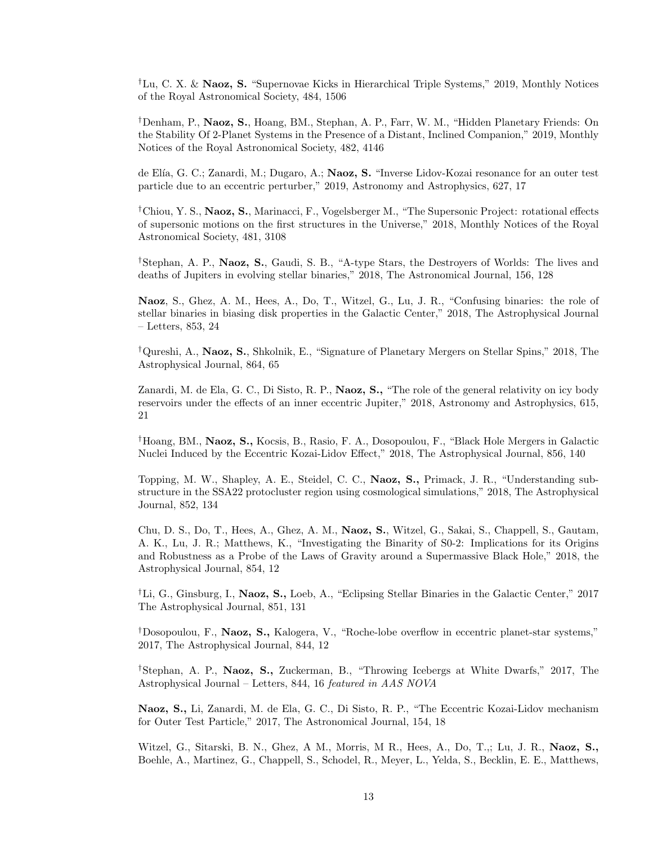†Lu, C. X. & Naoz, S. "Supernovae Kicks in Hierarchical Triple Systems," 2019, Monthly Notices of the Royal Astronomical Society, 484, 1506

†Denham, P., Naoz, S., Hoang, BM., Stephan, A. P., Farr, W. M., "Hidden Planetary Friends: On the Stability Of 2-Planet Systems in the Presence of a Distant, Inclined Companion," 2019, Monthly Notices of the Royal Astronomical Society, 482, 4146

de Elía, G. C.; Zanardi, M.; Dugaro, A.; **Naoz, S.** "Inverse Lidov-Kozai resonance for an outer test particle due to an eccentric perturber," 2019, Astronomy and Astrophysics, 627, 17

†Chiou, Y. S., Naoz, S., Marinacci, F., Vogelsberger M., "The Supersonic Project: rotational effects of supersonic motions on the first structures in the Universe," 2018, Monthly Notices of the Royal Astronomical Society, 481, 3108

†Stephan, A. P., Naoz, S., Gaudi, S. B., "A-type Stars, the Destroyers of Worlds: The lives and deaths of Jupiters in evolving stellar binaries," 2018, The Astronomical Journal, 156, 128

Naoz, S., Ghez, A. M., Hees, A., Do, T., Witzel, G., Lu, J. R., "Confusing binaries: the role of stellar binaries in biasing disk properties in the Galactic Center," 2018, The Astrophysical Journal – Letters, 853, 24

†Qureshi, A., Naoz, S., Shkolnik, E., "Signature of Planetary Mergers on Stellar Spins," 2018, The Astrophysical Journal, 864, 65

Zanardi, M. de Ela, G. C., Di Sisto, R. P., Naoz, S., "The role of the general relativity on icy body reservoirs under the effects of an inner eccentric Jupiter," 2018, Astronomy and Astrophysics, 615, 21

†Hoang, BM., Naoz, S., Kocsis, B., Rasio, F. A., Dosopoulou, F., "Black Hole Mergers in Galactic Nuclei Induced by the Eccentric Kozai-Lidov Effect," 2018, The Astrophysical Journal, 856, 140

Topping, M. W., Shapley, A. E., Steidel, C. C., Naoz, S., Primack, J. R., "Understanding substructure in the SSA22 protocluster region using cosmological simulations," 2018, The Astrophysical Journal, 852, 134

Chu, D. S., Do, T., Hees, A., Ghez, A. M., Naoz, S., Witzel, G., Sakai, S., Chappell, S., Gautam, A. K., Lu, J. R.; Matthews, K., "Investigating the Binarity of S0-2: Implications for its Origins and Robustness as a Probe of the Laws of Gravity around a Supermassive Black Hole," 2018, the Astrophysical Journal, 854, 12

<sup>†</sup>Li, G., Ginsburg, I., **Naoz, S.,** Loeb, A., "Eclipsing Stellar Binaries in the Galactic Center," 2017 The Astrophysical Journal, 851, 131

†Dosopoulou, F., Naoz, S., Kalogera, V., "Roche-lobe overflow in eccentric planet-star systems," 2017, The Astrophysical Journal, 844, 12

†Stephan, A. P., Naoz, S., Zuckerman, B., "Throwing Icebergs at White Dwarfs," 2017, The Astrophysical Journal – Letters, 844, 16 featured in AAS NOVA

Naoz, S., Li, Zanardi, M. de Ela, G. C., Di Sisto, R. P., "The Eccentric Kozai-Lidov mechanism for Outer Test Particle," 2017, The Astronomical Journal, 154, 18

Witzel, G., Sitarski, B. N., Ghez, A M., Morris, M R., Hees, A., Do, T.,; Lu, J. R., Naoz, S., Boehle, A., Martinez, G., Chappell, S., Schodel, R., Meyer, L., Yelda, S., Becklin, E. E., Matthews,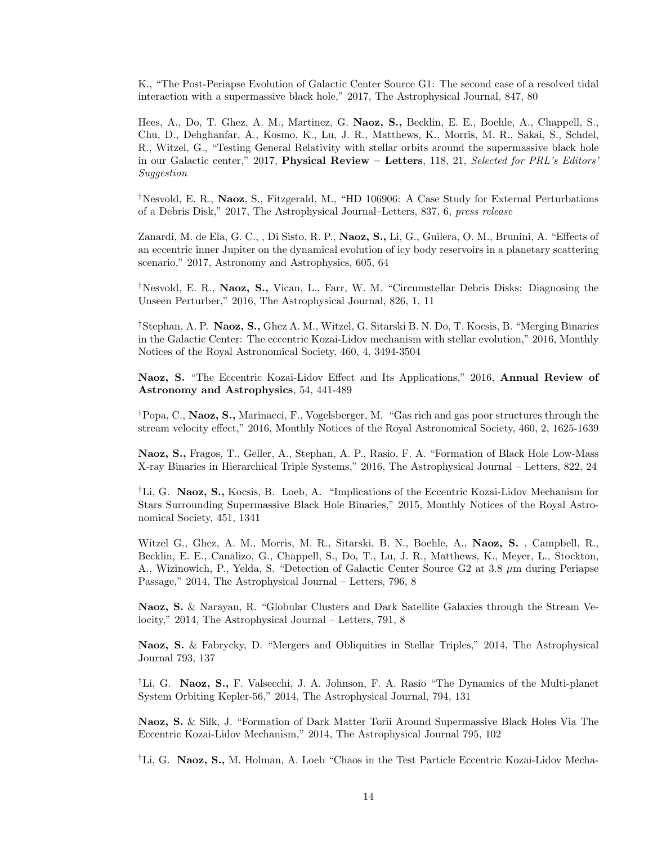K., "The Post-Periapse Evolution of Galactic Center Source G1: The second case of a resolved tidal interaction with a supermassive black hole," 2017, The Astrophysical Journal, 847, 80

Hees, A., Do, T. Ghez, A. M., Martinez, G. Naoz, S., Becklin, E. E., Boehle, A., Chappell, S., Chu, D., Dehghanfar, A., Kosmo, K., Lu, J. R., Matthews, K., Morris, M. R., Sakai, S., Schdel, R., Witzel, G., "Testing General Relativity with stellar orbits around the supermassive black hole in our Galactic center," 2017, Physical Review – Letters, 118, 21, Selected for PRL's Editors' Suggestion

†Nesvold, E. R., Naoz, S., Fitzgerald, M., "HD 106906: A Case Study for External Perturbations of a Debris Disk," 2017, The Astrophysical Journal–Letters, 837, 6, press release

Zanardi, M. de Ela, G. C., , Di Sisto, R. P., Naoz, S., Li, G., Guilera, O. M., Brunini, A. "Effects of an eccentric inner Jupiter on the dynamical evolution of icy body reservoirs in a planetary scattering scenario," 2017, Astronomy and Astrophysics, 605, 64

†Nesvold, E. R., Naoz, S., Vican, L., Farr, W. M. "Circumstellar Debris Disks: Diagnosing the Unseen Perturber," 2016, The Astrophysical Journal, 826, 1, 11

†Stephan, A. P. Naoz, S., Ghez A. M., Witzel, G. Sitarski B. N. Do, T. Kocsis, B. "Merging Binaries in the Galactic Center: The eccentric Kozai-Lidov mechanism with stellar evolution," 2016, Monthly Notices of the Royal Astronomical Society, 460, 4, 3494-3504

Naoz, S. "The Eccentric Kozai-Lidov Effect and Its Applications," 2016, Annual Review of Astronomy and Astrophysics, 54, 441-489

†Popa, C., Naoz, S., Marinacci, F., Vogelsberger, M. "Gas rich and gas poor structures through the stream velocity effect," 2016, Monthly Notices of the Royal Astronomical Society, 460, 2, 1625-1639

Naoz, S., Fragos, T., Geller, A., Stephan, A. P., Rasio, F. A. "Formation of Black Hole Low-Mass X-ray Binaries in Hierarchical Triple Systems," 2016, The Astrophysical Journal – Letters, 822, 24

†Li, G. Naoz, S., Kocsis, B. Loeb, A. "Implications of the Eccentric Kozai-Lidov Mechanism for Stars Surrounding Supermassive Black Hole Binaries," 2015, Monthly Notices of the Royal Astronomical Society, 451, 1341

Witzel G., Ghez, A. M., Morris, M. R., Sitarski, B. N., Boehle, A., Naoz, S. , Campbell, R., Becklin, E. E., Canalizo, G., Chappell, S., Do, T., Lu, J. R., Matthews, K., Meyer, L., Stockton, A., Wizinowich, P., Yelda, S. "Detection of Galactic Center Source G2 at 3.8 µm during Periapse Passage," 2014, The Astrophysical Journal – Letters, 796, 8

Naoz, S. & Narayan, R. "Globular Clusters and Dark Satellite Galaxies through the Stream Velocity," 2014, The Astrophysical Journal – Letters, 791, 8

Naoz, S. & Fabrycky, D. "Mergers and Obliquities in Stellar Triples," 2014, The Astrophysical Journal 793, 137

<sup>†</sup>Li, G. **Naoz, S.,** F. Valsecchi, J. A. Johnson, F. A. Rasio "The Dynamics of the Multi-planet" System Orbiting Kepler-56," 2014, The Astrophysical Journal, 794, 131

Naoz, S. & Silk, J. "Formation of Dark Matter Torii Around Supermassive Black Holes Via The Eccentric Kozai-Lidov Mechanism," 2014, The Astrophysical Journal 795, 102

†Li, G. Naoz, S., M. Holman, A. Loeb "Chaos in the Test Particle Eccentric Kozai-Lidov Mecha-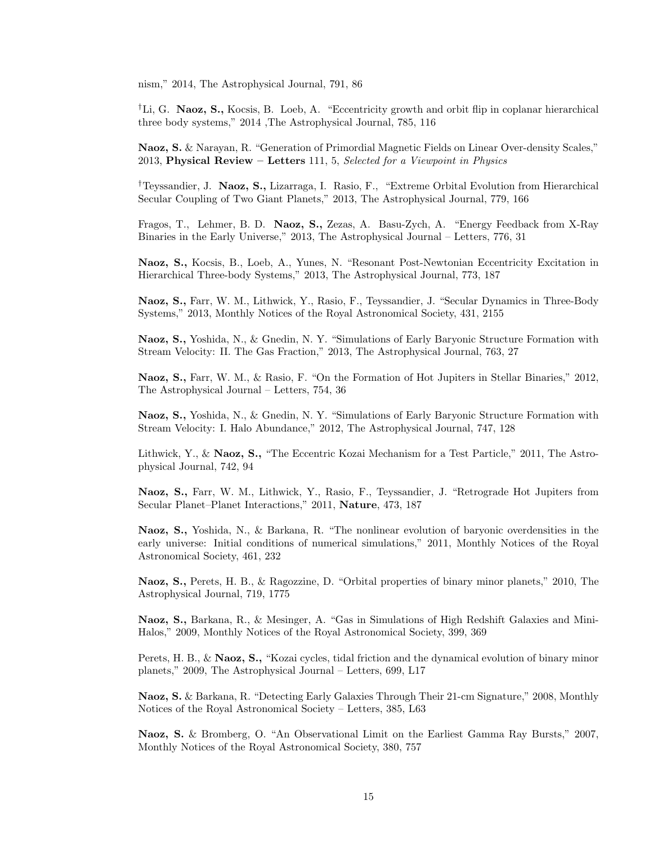nism," 2014, The Astrophysical Journal, 791, 86

†Li, G. Naoz, S., Kocsis, B. Loeb, A. "Eccentricity growth and orbit flip in coplanar hierarchical three body systems," 2014 ,The Astrophysical Journal, 785, 116

Naoz, S. & Narayan, R. "Generation of Primordial Magnetic Fields on Linear Over-density Scales," 2013, Physical Review – Letters 111, 5, Selected for a Viewpoint in Physics

†Teyssandier, J. Naoz, S., Lizarraga, I. Rasio, F., "Extreme Orbital Evolution from Hierarchical Secular Coupling of Two Giant Planets," 2013, The Astrophysical Journal, 779, 166

Fragos, T., Lehmer, B. D. Naoz, S., Zezas, A. Basu-Zych, A. "Energy Feedback from X-Ray Binaries in the Early Universe," 2013, The Astrophysical Journal – Letters, 776, 31

Naoz, S., Kocsis, B., Loeb, A., Yunes, N. "Resonant Post-Newtonian Eccentricity Excitation in Hierarchical Three-body Systems," 2013, The Astrophysical Journal, 773, 187

Naoz, S., Farr, W. M., Lithwick, Y., Rasio, F., Teyssandier, J. "Secular Dynamics in Three-Body Systems," 2013, Monthly Notices of the Royal Astronomical Society, 431, 2155

Naoz, S., Yoshida, N., & Gnedin, N. Y. "Simulations of Early Baryonic Structure Formation with Stream Velocity: II. The Gas Fraction," 2013, The Astrophysical Journal, 763, 27

Naoz, S., Farr, W. M., & Rasio, F. "On the Formation of Hot Jupiters in Stellar Binaries," 2012, The Astrophysical Journal – Letters, 754, 36

Naoz, S., Yoshida, N., & Gnedin, N. Y. "Simulations of Early Baryonic Structure Formation with Stream Velocity: I. Halo Abundance," 2012, The Astrophysical Journal, 747, 128

Lithwick, Y., & Naoz, S., "The Eccentric Kozai Mechanism for a Test Particle," 2011, The Astrophysical Journal, 742, 94

Naoz, S., Farr, W. M., Lithwick, Y., Rasio, F., Teyssandier, J. "Retrograde Hot Jupiters from Secular Planet–Planet Interactions," 2011, Nature, 473, 187

Naoz, S., Yoshida, N., & Barkana, R. "The nonlinear evolution of baryonic overdensities in the early universe: Initial conditions of numerical simulations," 2011, Monthly Notices of the Royal Astronomical Society, 461, 232

Naoz, S., Perets, H. B., & Ragozzine, D. "Orbital properties of binary minor planets," 2010, The Astrophysical Journal, 719, 1775

Naoz, S., Barkana, R., & Mesinger, A. "Gas in Simulations of High Redshift Galaxies and Mini-Halos," 2009, Monthly Notices of the Royal Astronomical Society, 399, 369

Perets, H. B., & Naoz, S., "Kozai cycles, tidal friction and the dynamical evolution of binary minor planets," 2009, The Astrophysical Journal – Letters, 699, L17

Naoz, S. & Barkana, R. "Detecting Early Galaxies Through Their 21-cm Signature," 2008, Monthly Notices of the Royal Astronomical Society – Letters, 385, L63

Naoz, S. & Bromberg, O. "An Observational Limit on the Earliest Gamma Ray Bursts," 2007, Monthly Notices of the Royal Astronomical Society, 380, 757